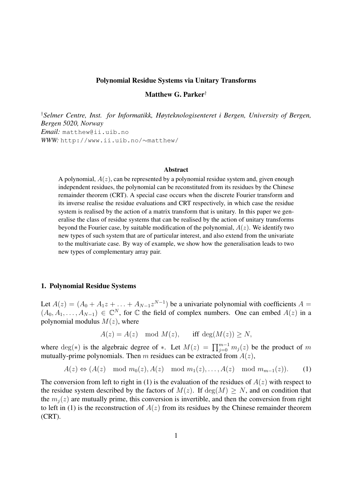#### Polynomial Residue Systems via Unitary Transforms

Matthew G. Parker†

†*Selmer Centre, Inst. for Informatikk, Høyteknologisenteret i Bergen, University of Bergen, Bergen 5020, Norway Email:* matthew@ii.uib.no *WWW:* http://www.ii.uib.no/∼matthew/

#### **Abstract**

A polynomial,  $A(z)$ , can be represented by a polynomial residue system and, given enough independent residues, the polynomial can be reconstituted from its residues by the Chinese remainder theorem (CRT). A special case occurs when the discrete Fourier transform and its inverse realise the residue evaluations and CRT respectively, in which case the residue system is realised by the action of a matrix transform that is unitary. In this paper we generalise the class of residue systems that can be realised by the action of unitary transforms beyond the Fourier case, by suitable modification of the polynomial,  $A(z)$ . We identify two new types of such system that are of particular interest, and also extend from the univariate to the multivariate case. By way of example, we show how the generalisation leads to two new types of complementary array pair.

### 1. Polynomial Residue Systems

Let  $A(z) = (A_0 + A_1 z + \ldots + A_{N-1} z^{N-1})$  be a univariate polynomial with coefficients  $A =$  $(A_0, A_1, \ldots, A_{N-1}) \in \mathbb{C}^N$ , for  $\mathbb C$  the field of complex numbers. One can embed  $A(z)$  in a polynomial modulus  $M(z)$ , where

$$
A(z) = A(z) \mod M(z), \quad \text{iff } \deg(M(z)) \ge N,
$$

where  $deg(*)$  is the algebraic degree of \*. Let  $M(z) = \prod_{j=0}^{m-1} m_j(z)$  be the product of m mutually-prime polynomials. Then m residues can be extracted from  $A(z)$ ,

$$
A(z) \Leftrightarrow (A(z) \mod m_0(z), A(z) \mod m_1(z), \dots, A(z) \mod m_{m-1}(z)).
$$
 (1)

The conversion from left to right in (1) is the evaluation of the residues of  $A(z)$  with respect to the residue system described by the factors of  $M(z)$ . If  $deg(M) \geq N$ , and on condition that the  $m_i(z)$  are mutually prime, this conversion is invertible, and then the conversion from right to left in (1) is the reconstruction of  $A(z)$  from its residues by the Chinese remainder theorem (CRT).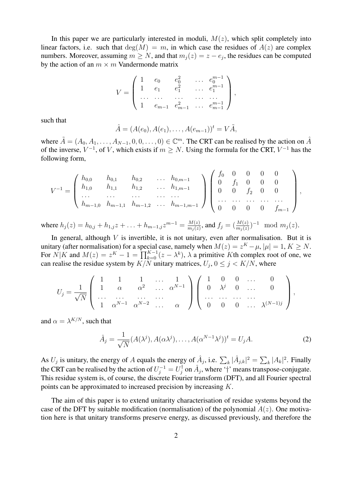In this paper we are particularly interested in moduli,  $M(z)$ , which split completely into linear factors, i.e. such that  $deg(M) = m$ , in which case the residues of  $A(z)$  are complex numbers. Moreover, assuming  $m \geq N$ , and that  $m_j(z) = z - e_j$ , the residues can be computed by the action of an  $m \times m$  Vandermonde matrix

$$
V = \begin{pmatrix} 1 & e_0 & e_0^2 & \dots & e_0^{m-1} \\ 1 & e_1 & e_1^2 & \dots & e_1^{m-1} \\ \dots & \dots & \dots & \dots & \dots \\ 1 & e_{m-1} & e_{m-1}^2 & \dots & e_{m-1}^{m-1} \end{pmatrix},
$$

such that

$$
\hat{A} = (A(e_0), A(e_1), \dots, A(e_{m-1}))^t = V\tilde{A},
$$

where  $\tilde{A} = (A_0, A_1, \ldots, A_{N-1}, 0, 0, \ldots, 0) \in \mathbb{C}^m$ . The CRT can be realised by the action on  $\hat{A}$ of the inverse,  $V^{-1}$ , of V, which exists if  $m \geq N$ . Using the formula for the CRT,  $V^{-1}$  has the following form,

$$
V^{-1} = \begin{pmatrix} h_{0,0} & h_{0,1} & h_{0,2} & \dots & h_{0,m-1} \\ h_{1,0} & h_{1,1} & h_{1,2} & \dots & h_{1,m-1} \\ \dots & \dots & \dots & \dots & \dots \\ h_{m-1,0} & h_{m-1,1} & h_{m-1,2} & \dots & h_{m-1,m-1} \end{pmatrix} \begin{pmatrix} f_0 & 0 & 0 & 0 & 0 \\ 0 & f_1 & 0 & 0 & 0 \\ 0 & 0 & f_2 & 0 & 0 \\ \dots & \dots & \dots & \dots & \dots \\ 0 & 0 & 0 & 0 & f_{m-1} \end{pmatrix},
$$

where  $h_j(z) = h_{0,j} + h_{1,j}z + \ldots + h_{m-1,j}z^{m-1} = \frac{M(z)}{m_i(z)}$  $\frac{M(z)}{m_j(z)}$ , and  $f_j = (\frac{M(z)}{m_j(z)})^{-1} \mod m_j(z)$ .

In general, although  $V$  is invertible, it is not unitary, even after normalisation. But it is unitary (after normalisation) for a special case, namely when  $M(z) = z^{K} - \mu$ ,  $|\mu| = 1, K \ge N$ . For  $N|K$  and  $M(z) = z^K - 1 = \prod_{k=0}^{K-1} (z - \lambda^k)$ ,  $\lambda$  a primitive Kth complex root of one, we can realise the residue system by  $K/N$  unitary matrices,  $U_j$ ,  $0 \le j \le K/N$ , where

$$
U_j = \frac{1}{\sqrt{N}} \left( \begin{array}{cccccc} 1 & 1 & 1 & \dots & 1 \\ 1 & \alpha & \alpha^2 & \dots & \alpha^{N-1} \\ \dots & \dots & \dots & \dots & \dots \\ 1 & \alpha^{N-1} & \alpha^{N-2} & \dots & \alpha \end{array} \right) \left( \begin{array}{cccccc} 1 & 0 & 0 & \dots & 0 \\ 0 & \lambda^j & 0 & \dots & 0 \\ \dots & \dots & \dots & \dots & \dots \\ 0 & 0 & 0 & \dots & \lambda^{(N-1)j} \end{array} \right),
$$

and  $\alpha = \lambda^{K/N}$ , such that

$$
\hat{A}_j = \frac{1}{\sqrt{N}} (A(\lambda^j), A(\alpha \lambda^j), \dots, A(\alpha^{N-1} \lambda^j))^t = U_j A.
$$
 (2)

As  $U_j$  is unitary, the energy of A equals the energy of  $\hat{A}_j$ , i.e.  $\sum_k |\hat{A}_{j,k}|^2 = \sum_k |A_k|^2$ . Finally the CRT can be realised by the action of  $U_j^{-1} = U_j^{\dagger}$  $j \circ n \hat{A}_j$ , where '†' means transpose-conjugate. This residue system is, of course, the discrete Fourier transform (DFT), and all Fourier spectral points can be approximated to increased precision by increasing K.

The aim of this paper is to extend unitarity characterisation of residue systems beyond the case of the DFT by suitable modification (normalisation) of the polynomial  $A(z)$ . One motivation here is that unitary transforms preserve energy, as discussed previously, and therefore the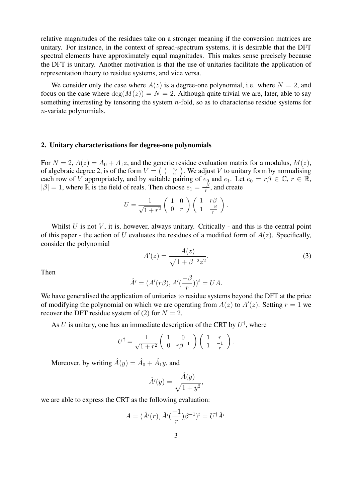relative magnitudes of the residues take on a stronger meaning if the conversion matrices are unitary. For instance, in the context of spread-spectrum systems, it is desirable that the DFT spectral elements have approximately equal magnitudes. This makes sense precisely because the DFT is unitary. Another motivation is that the use of unitaries facilitate the application of representation theory to residue systems, and vice versa.

We consider only the case where  $A(z)$  is a degree-one polynomial, i.e. where  $N = 2$ , and focus on the case where  $deg(M(z)) = N = 2$ . Although quite trivial we are, later, able to say something interesting by tensoring the system  $n$ -fold, so as to characterise residue systems for n-variate polynomials.

### 2. Unitary characterisations for degree-one polynomials

For  $N = 2$ ,  $A(z) = A_0 + A_1 z$ , and the generic residue evaluation matrix for a modulus,  $M(z)$ , of algebraic degree 2, is of the form  $V = \begin{pmatrix} 1 & e_0 \\ 1 & e_1 \end{pmatrix}$ . We adjust V to unitary form by normalising each row of V appropriately, and by suitable pairing of  $e_0$  and  $e_1$ . Let  $e_0 = r\beta \in \mathbb{C}$ ,  $r \in \mathbb{R}$ ,  $|\beta| = 1$ , where  $\mathbb R$  is the field of reals. Then choose  $e_1 = -\frac{\beta}{r}$  $\frac{-\beta}{r}$ , and create

$$
U = \frac{1}{\sqrt{1+r^2}} \begin{pmatrix} 1 & 0 \\ 0 & r \end{pmatrix} \begin{pmatrix} 1 & r\beta \\ 1 & \frac{-\beta}{r} \end{pmatrix}.
$$

Whilst  $U$  is not  $V$ , it is, however, always unitary. Critically - and this is the central point of this paper - the action of U evaluates the residues of a modified form of  $A(z)$ . Specifically, consider the polynomial

$$
A'(z) = \frac{A(z)}{\sqrt{1 + \beta^{-2}z^2}}.
$$
\n(3)

Then

$$
\hat{A}' = (A'(r\beta), A'(\frac{-\beta}{r}))^t = UA.
$$

We have generalised the application of unitaries to residue systems beyond the DFT at the price of modifying the polynomial on which we are operating from  $A(z)$  to  $A'(z)$ . Setting  $r = 1$  we recover the DFT residue system of (2) for  $N = 2$ .

As U is unitary, one has an immediate description of the CRT by  $U^{\dagger}$ , where

$$
U^{\dagger} = \frac{1}{\sqrt{1+r^2}} \begin{pmatrix} 1 & 0 \\ 0 & r\beta^{-1} \end{pmatrix} \begin{pmatrix} 1 & r \\ 1 & \frac{-1}{r} \end{pmatrix}.
$$

Moreover, by writing  $\hat{A}(y) = \hat{A}_0 + \hat{A}_1y$ , and

$$
\hat{A}'(y) = \frac{\hat{A}(y)}{\sqrt{1+y^2}},
$$

we are able to express the CRT as the following evaluation:

$$
A = (\hat{A}'(r), \hat{A}'(\frac{-1}{r})\beta^{-1})^t = U^{\dagger}\hat{A}'.
$$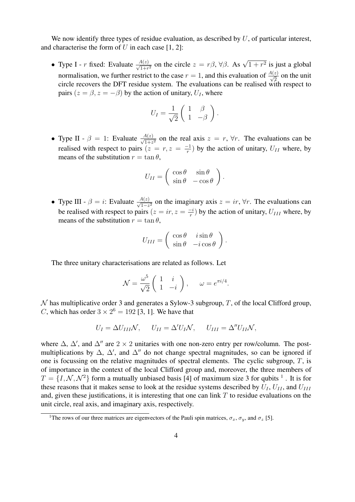We now identify three types of residue evaluation, as described by  $U$ , of particular interest, and characterise the form of  $U$  in each case [1, 2]:

• Type I - r fixed: Evaluate  $\frac{A(z)}{\sqrt{1+r^2}}$  on the circle  $z = r\beta$ ,  $\forall \beta$ . As  $\sqrt{1+r^2}$  is just a global normalisation, we further restrict to the case  $r = 1$ , and this evaluation of  $\frac{A(z)}{\sqrt{2}}$  on the unit circle recovers the DFT residue system. The evaluations can be realised with respect to pairs  $(z = \beta, z = -\beta)$  by the action of unitary,  $U_I$ , where

$$
U_I = \frac{1}{\sqrt{2}} \left( \begin{array}{cc} 1 & \beta \\ 1 & -\beta \end{array} \right).
$$

• Type II -  $\beta = 1$ : Evaluate  $\frac{A(z)}{\sqrt{1+z^2}}$  on the real axis  $z = r$ ,  $\forall r$ . The evaluations can be realised with respect to pairs  $(z = r, z = \frac{-1}{r})$  $\frac{r-1}{r}$ ) by the action of unitary,  $U_{II}$  where, by means of the substitution  $r = \tan \theta$ ,

$$
U_{II} = \begin{pmatrix} \cos \theta & \sin \theta \\ \sin \theta & -\cos \theta \end{pmatrix}.
$$

• Type III -  $\beta = i$ : Evaluate  $\frac{A(z)}{\sqrt{1-z^2}}$  on the imaginary axis  $z = ir, \forall r$ . The evaluations can be realised with respect to pairs  $(z = ir, z = \frac{-i}{r})$  $\frac{(-i)}{r}$ ) by the action of unitary,  $U_{III}$  where, by means of the substitution  $r = \tan \theta$ .

$$
U_{III} = \begin{pmatrix} \cos \theta & i \sin \theta \\ \sin \theta & -i \cos \theta \end{pmatrix}.
$$

The three unitary characterisations are related as follows. Let

$$
\mathcal{N} = \frac{\omega^5}{\sqrt{2}} \left( \begin{array}{cc} 1 & i \\ 1 & -i \end{array} \right), \qquad \omega = e^{\pi i/4}.
$$

 $\mathcal N$  has multiplicative order 3 and generates a Sylow-3 subgroup, T, of the local Clifford group, C, which has order  $3 \times 2^6 = 192$  [3, 1]. We have that

$$
U_I = \Delta U_{III} \mathcal{N}, \quad U_{II} = \Delta' U_I \mathcal{N}, \quad U_{III} = \Delta'' U_{II} \mathcal{N},
$$

where  $\Delta$ ,  $\Delta'$ , and  $\Delta''$  are 2 × 2 unitaries with one non-zero entry per row/column. The postmultiplications by  $\Delta$ ,  $\Delta'$ , and  $\Delta''$  do not change spectral magnitudes, so can be ignored if one is focussing on the relative magnitudes of spectral elements. The cyclic subgroup,  $T$ , is of importance in the context of the local Clifford group and, moreover, the three members of  $T = \{I, \mathcal{N}, \mathcal{N}^2\}$  form a mutually unbiased basis [4] of maximum size 3 for qubits <sup>1</sup>. It is for these reasons that it makes sense to look at the residue systems described by  $U_I$ ,  $U_{II}$ , and  $U_{III}$ and, given these justifications, it is interesting that one can link  $T$  to residue evaluations on the unit circle, real axis, and imaginary axis, respectively.

<sup>&</sup>lt;sup>1</sup>The rows of our three matrices are eigenvectors of the Pauli spin matrices,  $\sigma_x$ ,  $\sigma_y$ , and  $\sigma_z$  [5].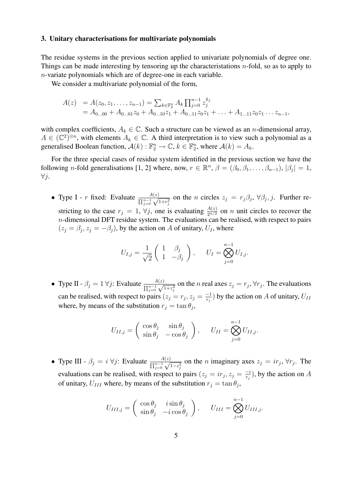## 3. Unitary characterisations for multivariate polynomials

The residue systems in the previous section applied to univariate polynomials of degree one. Things can be made interesting by tensoring up the characteristations  $n$ -fold, so as to apply to n-variate polynomials which are of degree-one in each variable.

We consider a multivariate polynomial of the form,

$$
A(z) = A(z_0, z_1, \dots, z_{n-1}) = \sum_{k \in \mathbb{F}_2^n} A_k \prod_{j=0}^{n-1} z_j^{k_j}
$$
  
=  $A_{0...00} + A_{0...01} z_0 + A_{0...10} z_1 + A_{0...11} z_0 z_1 + \dots + A_{1...11} z_0 z_1 \dots z_{n-1}$ ,

with complex coefficients,  $A_k \in \mathbb{C}$ . Such a structure can be viewed as an *n*-dimensional array,  $A \in (\mathbb{C}^2)^{\otimes n}$ , with elements  $A_k \in \mathbb{C}$ . A third interpretation is to view such a polynomial as a generalised Boolean function,  $\mathcal{A}(k) : \mathbb{F}_2^n \to \mathbb{C}$ ,  $k \in \mathbb{F}_2^n$ , where  $\mathcal{A}(k) = A_k$ .

For the three special cases of residue system identified in the previous section we have the following *n*-fold generalisations [1, 2] where, now,  $r \in \mathbb{R}^n$ ,  $\beta = (\beta_0, \beta_1, \dots, \beta_{n-1}), |\beta_j| = 1$ ,  $\forall i$ .

• Type I - r fixed: Evaluate  $\frac{A(z)}{\prod_{j=0}^{n-1} \sqrt{1+r_j^2}}$  on the n circles  $z_j = r_j \beta_j$ ,  $\forall \beta_j, j$ . Further restricting to the case  $r_j = 1$ ,  $\forall j$ , one is evaluating  $\frac{A(z)}{2^{n/2}}$  on n unit circles to recover the  $n$ -dimensional DFT residue system. The evaluations can be realised, with respect to pairs  $(z_j = \beta_j, z_j = -\beta_j)$ , by the action on A of unitary,  $U_I$ , where

$$
U_{I,j} = \frac{1}{\sqrt{2}} \begin{pmatrix} 1 & \beta_j \\ 1 & -\beta_j \end{pmatrix}, \qquad U_I = \bigotimes_{j=0}^{n-1} U_{I,j}.
$$

• Type II -  $\beta_j = 1 \forall j$ : Evaluate  $\frac{A(z)}{\prod_{j=0}^{n-1} \sqrt{1+z_j^2}}$  on the *n* real axes  $z_j = r_j$ ,  $\forall r_j$ . The evaluations can be realised, with respect to pairs  $(z_j = r_j, z_j = \frac{-1}{r_j})$  $\frac{(-1)}{r_j}$ ) by the action on A of unitary,  $U_{II}$ where, by means of the substitution  $r_j = \tan \theta_j$ ,

$$
U_{II,j} = \begin{pmatrix} \cos \theta_j & \sin \theta_j \\ \sin \theta_j & -\cos \theta_j \end{pmatrix}, \quad U_{II} = \bigotimes_{j=0}^{n-1} U_{II,j}.
$$

• Type III -  $\beta_j = i \,\forall j$ : Evaluate  $\frac{A(z)}{\prod_{j=0}^{n-1} \sqrt{1-z_j^2}}$  on the *n* imaginary axes  $z_j = ir_j, \forall r_j$ . The evaluations can be realised, with respect to pairs  $(z_j = ir_j, z_j = \frac{-i}{r_j})$  $\frac{-i}{r_j}$ ), by the action on A of unitary,  $U_{III}$  where, by means of the substitution  $r_j = \tan \theta_j$ ,

$$
U_{III,j} = \begin{pmatrix} \cos \theta_j & i \sin \theta_j \\ \sin \theta_j & -i \cos \theta_j \end{pmatrix}, \quad U_{III} = \bigotimes_{j=0}^{n-1} U_{III,j}.
$$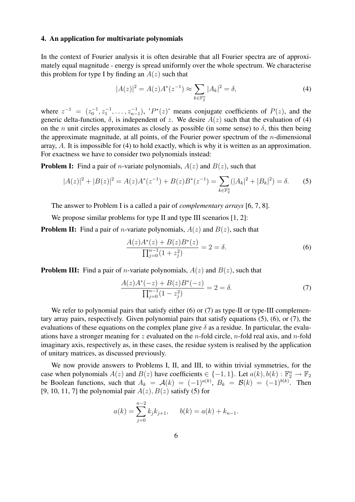## 4. An application for multivariate polynomials

In the context of Fourier analysis it is often desirable that all Fourier spectra are of approximately equal magnitude - energy is spread uniformly over the whole spectrum. We characterise this problem for type I by finding an  $A(z)$  such that

$$
|A(z)|^2 = A(z)A^*(z^{-1}) \approx \sum_{k \in \mathbb{F}_2^n} |A_k|^2 = \delta,
$$
 (4)

where  $z^{-1} = (z_0^{-1}, z_1^{-1}, \ldots, z_{n-1}^{-1}),$  ' $P^*(z)$ ' means conjugate coefficients of  $P(z)$ , and the generic delta-function,  $\delta$ , is independent of z. We desire  $A(z)$  such that the evaluation of (4) on the *n* unit circles approximates as closely as possible (in some sense) to  $\delta$ , this then being the approximate magnitude, at all points, of the Fourier power spectrum of the  $n$ -dimensional array, A. It is impossible for (4) to hold exactly, which is why it is written as an approximation. For exactness we have to consider two polynomials instead:

**Problem I:** Find a pair of *n*-variate polynomials,  $A(z)$  and  $B(z)$ , such that

$$
|A(z)|^2 + |B(z)|^2 = A(z)A^*(z^{-1}) + B(z)B^*(z^{-1}) = \sum_{k \in \mathbb{F}_2^n} (|A_k|^2 + |B_k|^2) = \delta.
$$
 (5)

The answer to Problem I is a called a pair of *complementary arrays* [6, 7, 8].

We propose similar problems for type II and type III scenarios [1, 2]:

**Problem II:** Find a pair of *n*-variate polynomials,  $A(z)$  and  $B(z)$ , such that

$$
\frac{A(z)A^*(z) + B(z)B^*(z)}{\prod_{j=0}^{n-1} (1+z_j^2)} = 2 = \delta.
$$
\n(6)

**Problem III:** Find a pair of *n*-variate polynomials,  $A(z)$  and  $B(z)$ , such that

$$
\frac{A(z)A^*(-z) + B(z)B^*(-z)}{\prod_{j=0}^{n-1}(1-z_j^2)} = 2 = \delta.
$$
 (7)

We refer to polynomial pairs that satisfy either  $(6)$  or  $(7)$  as type-II or type-III complementary array pairs, respectively. Given polynomial pairs that satisfy equations (5), (6), or (7), the evaluations of these equations on the complex plane give  $\delta$  as a residue. In particular, the evaluations have a stronger meaning for z evaluated on the *n*-fold circle, *n*-fold real axis, and *n*-fold imaginary axis, respectively as, in these cases, the residue system is realised by the application of unitary matrices, as discussed previously.

We now provide answers to Problems I, II, and III, to within trivial symmetries, for the case when polynomials  $A(z)$  and  $B(z)$  have coefficients  $\in \{-1, 1\}$ . Let  $a(k)$ ,  $b(k) : \mathbb{F}_2^n \to \mathbb{F}_2$ be Boolean functions, such that  $A_k = A(k) = (-1)^{a(k)}$ ,  $B_k = B(k) = (-1)^{b(k)}$ . Then [9, 10, 11, 7] the polynomial pair  $A(z)$ ,  $B(z)$  satisfy (5) for

$$
a(k) = \sum_{j=0}^{n-2} k_j k_{j+1}, \qquad b(k) = a(k) + k_{n-1}.
$$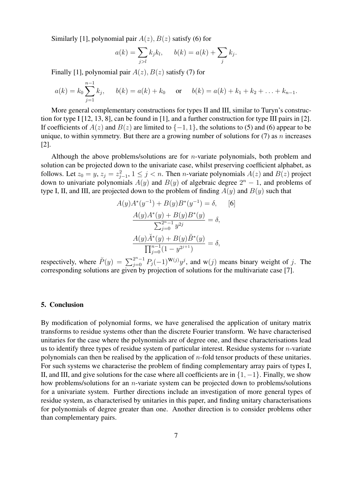Similarly [1], polynomial pair  $A(z)$ ,  $B(z)$  satisfy (6) for

$$
a(k) = \sum_{j>l} k_j k_l, \qquad b(k) = a(k) + \sum_j k_j.
$$

Finally [1], polynomial pair  $A(z)$ ,  $B(z)$  satisfy (7) for

$$
a(k) = k_0 \sum_{j=1}^{n-1} k_j
$$
,  $b(k) = a(k) + k_0$  or  $b(k) = a(k) + k_1 + k_2 + \ldots + k_{n-1}$ .

More general complementary constructions for types II and III, similar to Turyn's construction for type I [12, 13, 8], can be found in [1], and a further construction for type III pairs in [2]. If coefficients of  $A(z)$  and  $B(z)$  are limited to  $\{-1, 1\}$ , the solutions to (5) and (6) appear to be unique, to within symmetry. But there are a growing number of solutions for  $(7)$  as n increases [2].

Although the above problems/solutions are for n-variate polynomials, both problem and solution can be projected down to the univariate case, whilst preserving coefficient alphabet, as follows. Let  $z_0 = y$ ,  $z_j = z_{j-1}^2$ ,  $1 \le j < n$ . Then *n*-variate polynomials  $A(z)$  and  $B(z)$  project down to univariate polynomials  $A(y)$  and  $B(y)$  of algebraic degree  $2<sup>n</sup> - 1$ , and problems of type I, II, and III, are projected down to the problem of finding  $A(y)$  and  $B(y)$  such that

$$
A(y)A^*(y^{-1}) + B(y)B^*(y^{-1}) = \delta, \qquad [6]
$$

$$
\frac{A(y)A^*(y) + B(y)B^*(y)}{\sum_{j=0}^{2^n - 1} y^{2j}} = \delta,
$$

$$
\frac{A(y)A^*(y) + B(y)B^*(y)}{\prod_{j=0}^{n-1} (1 - y^{2^{j+1}})} = \delta,
$$

respectively, where  $\tilde{P}(y) = \sum_{j=0}^{2^n-1} P_j(-1)^{\mathbf{W}(j)}y^j$ , and w(j) means binary weight of j. The corresponding solutions are given by projection of solutions for the multivariate case [7].

## 5. Conclusion

By modification of polynomial forms, we have generalised the application of unitary matrix transforms to residue systems other than the discrete Fourier transform. We have characterised unitaries for the case where the polynomials are of degree one, and these characterisations lead us to identify three types of residue system of particular interest. Residue systems for  $n$ -variate polynomials can then be realised by the application of  $n$ -fold tensor products of these unitaries. For such systems we characterise the problem of finding complementary array pairs of types I, II, and III, and give solutions for the case where all coefficients are in  $\{1, -1\}$ . Finally, we show how problems/solutions for an n-variate system can be projected down to problems/solutions for a univariate system. Further directions include an investigation of more general types of residue system, as characterised by unitaries in this paper, and finding unitary characterisations for polynomials of degree greater than one. Another direction is to consider problems other than complementary pairs.